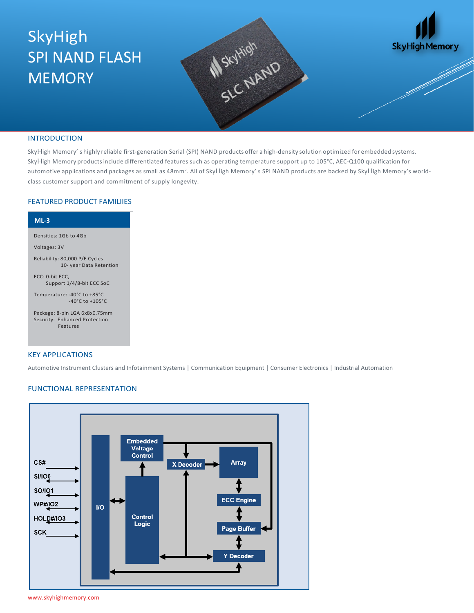# SkyHigh SPI NAND FLASH **MEMORY**





### INTRODUCTION

SkyHigh Memory' s highly reliable first-generation Serial (SPI) NAND products offer a high-density solution optimized for embedded systems. SkyHigh Memory productsinclude differentiated features such as operating temperature support up to 105°C, AEC-Q100 qualification for automotive applications and packages as small as 48mm<sup>2</sup>. All of SkyHigh Memory' s SPI NAND products are backed by SkyHigh Memory's worldclass customer support and commitment of supply longevity.

# FEATURED PRODUCT FAMILIIES

| $ML-3$                                                                     |
|----------------------------------------------------------------------------|
| Densities: 1Gb to 4Gb                                                      |
| Voltages: 3V                                                               |
| Reliability: 80,000 P/E Cycles<br>10- year Data Retention                  |
| ECC: 0-bit ECC,<br>Support 1/4/8-bit ECC SoC                               |
| Temperature: -40°C to +85°C<br>$-40^{\circ}$ C to $+105^{\circ}$ C         |
| Package: 8-pin LGA 6x8x0.75mm<br>Security: Enhanced Protection<br>Features |

#### KEY APPLICATIONS

Automotive Instrument Clusters and Infotainment Systems | Communication Equipment | Consumer Electronics | Industrial Automation

### FUNCTIONAL REPRESENTATION